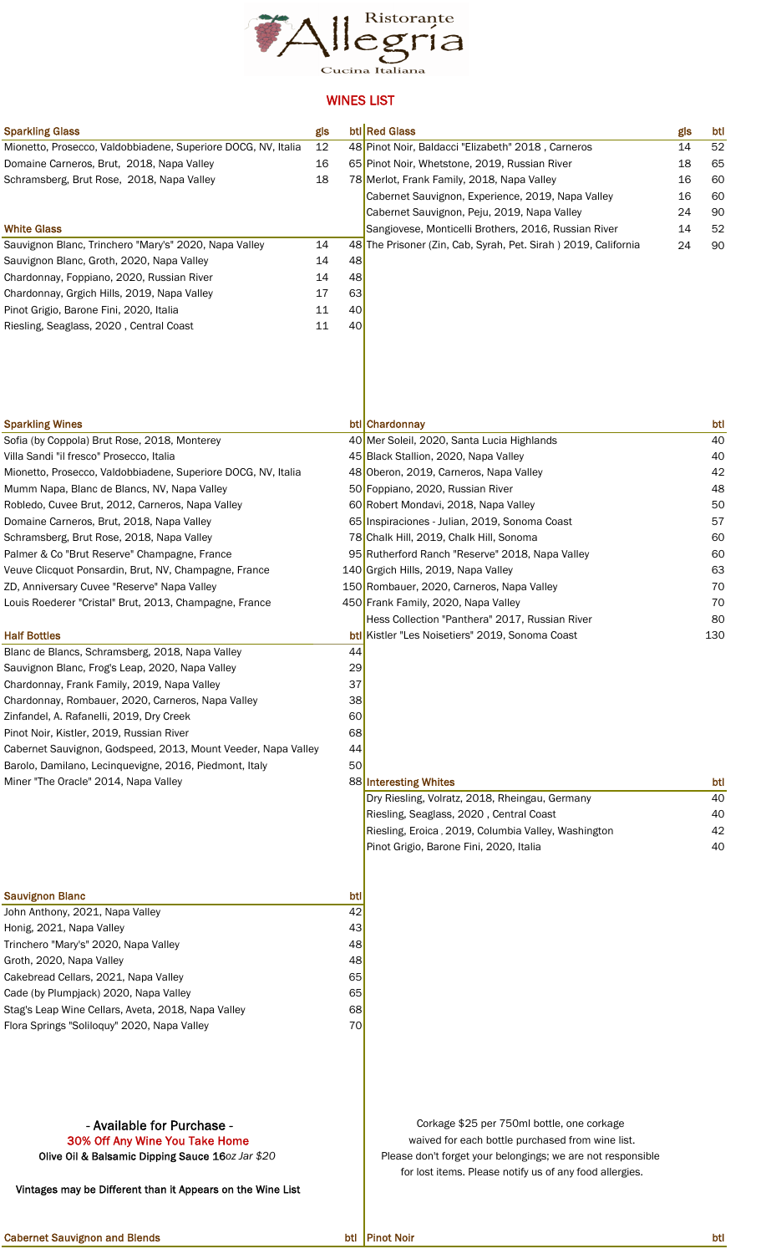

## WINES LIST

| <b>Sparkling Glass</b>                                        | gls |     | btl Red Glass                                                  | gls | btl |
|---------------------------------------------------------------|-----|-----|----------------------------------------------------------------|-----|-----|
| Mionetto, Prosecco, Valdobbiadene, Superiore DOCG, NV, Italia | 12  |     | 48 Pinot Noir, Baldacci "Elizabeth" 2018, Carneros             | 14  | 52  |
| Domaine Carneros, Brut, 2018, Napa Valley                     | 16  |     | 65 Pinot Noir, Whetstone, 2019, Russian River                  | 18  | 65  |
| Schramsberg, Brut Rose, 2018, Napa Valley                     | 18  |     | 78 Merlot, Frank Family, 2018, Napa Valley                     | 16  | 60  |
|                                                               |     |     | Cabernet Sauvignon, Experience, 2019, Napa Valley              | 16  | 60  |
|                                                               |     |     | Cabernet Sauvignon, Peju, 2019, Napa Valley                    | 24  | 90  |
| <b>White Glass</b>                                            |     |     | Sangiovese, Monticelli Brothers, 2016, Russian River           | 14  | 52  |
| Sauvignon Blanc, Trinchero "Mary's" 2020, Napa Valley         | 14  |     | 48 The Prisoner (Zin, Cab, Syrah, Pet. Sirah) 2019, California | 24  | 90  |
| Sauvignon Blanc, Groth, 2020, Napa Valley                     | 14  | 48  |                                                                |     |     |
| Chardonnay, Foppiano, 2020, Russian River                     | 14  | 48  |                                                                |     |     |
| Chardonnay, Grgich Hills, 2019, Napa Valley                   | 17  | 63  |                                                                |     |     |
| Pinot Grigio, Barone Fini, 2020, Italia                       | 11  | 40  |                                                                |     |     |
| Riesling, Seaglass, 2020, Central Coast                       | 11  | 40  |                                                                |     |     |
| <b>Sparkling Wines</b>                                        |     |     | btl Chardonnay                                                 |     | btl |
| Sofia (by Coppola) Brut Rose, 2018, Monterey                  |     |     | 40 Mer Soleil, 2020, Santa Lucia Highlands                     |     | 40  |
| Villa Sandi "il fresco" Prosecco, Italia                      |     |     | 45 Black Stallion, 2020, Napa Valley                           |     | 40  |
| Mionetto, Prosecco, Valdobbiadene, Superiore DOCG, NV, Italia |     |     | 48 Oberon, 2019, Carneros, Napa Valley                         |     | 42  |
| Mumm Napa, Blanc de Blancs, NV, Napa Valley                   |     |     | 50 Foppiano, 2020, Russian River                               |     | 48  |
| Robledo, Cuvee Brut, 2012, Carneros, Napa Valley              |     |     | 60 Robert Mondavi, 2018, Napa Valley                           |     | 50  |
| Domaine Carneros, Brut, 2018, Napa Valley                     |     |     | 65 Inspiraciones - Julian, 2019, Sonoma Coast                  |     | 57  |
| Schramsberg, Brut Rose, 2018, Napa Valley                     |     |     | 78 Chalk Hill, 2019, Chalk Hill, Sonoma                        |     | 60  |
| Palmer & Co "Brut Reserve" Champagne, France                  |     |     | 95 Rutherford Ranch "Reserve" 2018, Napa Valley                |     | 60  |
| Veuve Clicquot Ponsardin, Brut, NV, Champagne, France         |     |     | 140 Grgich Hills, 2019, Napa Valley                            |     | 63  |
| ZD, Anniversary Cuvee "Reserve" Napa Valley                   |     |     | 150 Rombauer, 2020, Carneros, Napa Valley                      |     | 70  |
| Louis Roederer "Cristal" Brut, 2013, Champagne, France        |     |     | 450 Frank Family, 2020, Napa Valley                            |     | 70  |
|                                                               |     |     | Hess Collection "Panthera" 2017, Russian River                 |     | 80  |
| <b>Half Bottles</b>                                           |     |     | btl Kistler "Les Noisetiers" 2019, Sonoma Coast                |     | 130 |
| Blanc de Blancs, Schramsberg, 2018, Napa Valley               |     | 44  |                                                                |     |     |
| Sauvignon Blanc, Frog's Leap, 2020, Napa Valley               |     | 29  |                                                                |     |     |
| Chardonnay, Frank Family, 2019, Napa Valley                   |     | 37  |                                                                |     |     |
| Chardonnay, Rombauer, 2020, Carneros, Napa Valley             |     | 38  |                                                                |     |     |
| Zinfandel, A. Rafanelli, 2019, Dry Creek                      |     | 60  |                                                                |     |     |
| Pinot Noir, Kistler, 2019, Russian River                      |     | 68  |                                                                |     |     |
| Cabernet Sauvignon, Godspeed, 2013, Mount Veeder, Napa Valley |     | 44  |                                                                |     |     |
| Barolo, Damilano, Lecinquevigne, 2016, Piedmont, Italy        |     | 50  |                                                                |     |     |
| Miner "The Oracle" 2014, Napa Valley                          |     |     | 88 Interesting Whites                                          |     | btl |
|                                                               |     |     | Dry Riesling, Volratz, 2018, Rheingau, Germany                 |     | 40  |
|                                                               |     |     | Riesling, Seaglass, 2020, Central Coast                        |     | 40  |
|                                                               |     |     | Riesling, Eroica, 2019, Columbia Valley, Washington            |     | 42  |
|                                                               |     |     | Pinot Grigio, Barone Fini, 2020, Italia                        |     | 40  |
| <b>Sauvignon Blanc</b>                                        |     | btl |                                                                |     |     |
| John Anthony, 2021, Napa Valley                               |     | 42  |                                                                |     |     |
| Honig, 2021, Napa Valley                                      |     | 43  |                                                                |     |     |
| Trinchero "Mary's" 2020, Napa Valley                          |     | 48  |                                                                |     |     |
| Groth, 2020, Napa Valley                                      |     | 48  |                                                                |     |     |
| Cakebread Cellars, 2021, Napa Valley                          |     | 65  |                                                                |     |     |
| Cade (by Plumpjack) 2020, Napa Valley                         |     | 65  |                                                                |     |     |

Stag's Leap Wine Cellars, Aveta, 2018, Napa Valley 68 Flora Springs "Soliloquy" 2020, Napa Valley 70

Vintages may be Different than it Appears on the Wine List

## - Available for Purchase - Corkage \$25 per 750ml bottle, one corkage **30% Off Any Wine You Take Home waived for each bottle purchased from wine list.** Olive Oil & Balsamic Dipping Sauce 16*oz Jar* \$20 **Please don't forget your belongings**; we are not responsible for lost items. Please notify us of any food allergies.